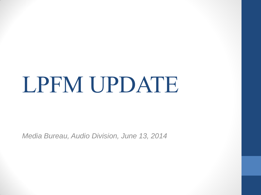# LPFM UPDATE

*Media Bureau, Audio Division, June 13, 2014*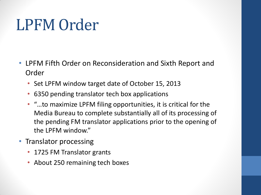# LPFM Order

- LPFM Fifth Order on Reconsideration and Sixth Report and Order
	- Set LPFM window target date of October 15, 2013
	- 6350 pending translator tech box applications
	- "…to maximize LPFM filing opportunities, it is critical for the Media Bureau to complete substantially all of its processing of the pending FM translator applications prior to the opening of the LPFM window."
- Translator processing
	- 1725 FM Translator grants
	- About 250 remaining tech boxes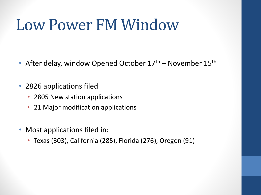### Low Power FM Window

- After delay, window Opened October  $17<sup>th</sup>$  November  $15<sup>th</sup>$
- 2826 applications filed
	- 2805 New station applications
	- 21 Major modification applications
- Most applications filed in:
	- Texas (303), California (285), Florida (276), Oregon (91)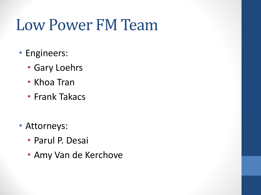## Low Power FM Team

- Engineers:
	- Gary Loehrs
	- Khoa Tran
	- Frank Takacs
- Attorneys:
	- Parul P. Desai
	- Amy Van de Kerchove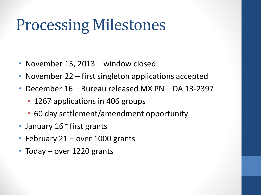## Processing Milestones

- November 15, 2013 window closed
- November 22 first singleton applications accepted
- December 16 Bureau released MX PN DA 13-2397
	- 1267 applications in 406 groups
	- 60 day settlement/amendment opportunity
- January 16<sup>-</sup> first grants
- February 21 over 1000 grants
- Today over 1220 grants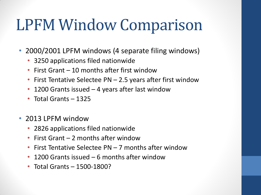# LPFM Window Comparison

- 2000/2001 LPFM windows (4 separate filing windows)
	- 3250 applications filed nationwide
	- First Grant  $-10$  months after first window
	- First Tentative Selectee PN 2.5 years after first window
	- 1200 Grants issued  $-$  4 years after last window
	- Total Grants 1325
- 2013 LPFM window
	- 2826 applications filed nationwide
	- First Grant  $-2$  months after window
	- First Tentative Selectee PN  $-$  7 months after window
	- 1200 Grants issued 6 months after window
	- Total Grants 1500-1800?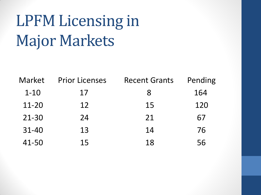# LPFM Licensing in Major Markets

| Market    | <b>Prior Licenses</b> | <b>Recent Grants</b> | Pending |
|-----------|-----------------------|----------------------|---------|
| $1 - 10$  | 17                    | 8                    | 164     |
| $11 - 20$ | 12                    | 15                   | 120     |
| 21-30     | 24                    | 21                   | 67      |
| 31-40     | 13                    | 14                   | 76      |
| 41-50     | 15                    | 18                   | 56      |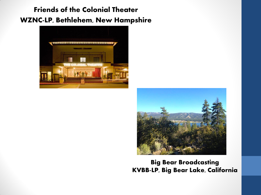### Friends of the Colonial Theater WZNC-LP, Bethlehem, New Hampshire





### Big Bear Broadcasting KVBB-LP, Big Bear Lake, California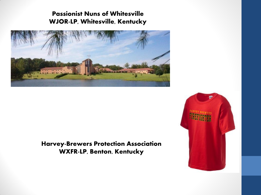#### Passionist Nuns of Whitesville WJOR-LP, Whitesville, Kentucky



### Harvey-Brewers Protection Association WXFR-LP, Benton, Kentucky

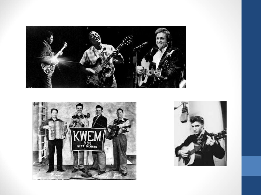